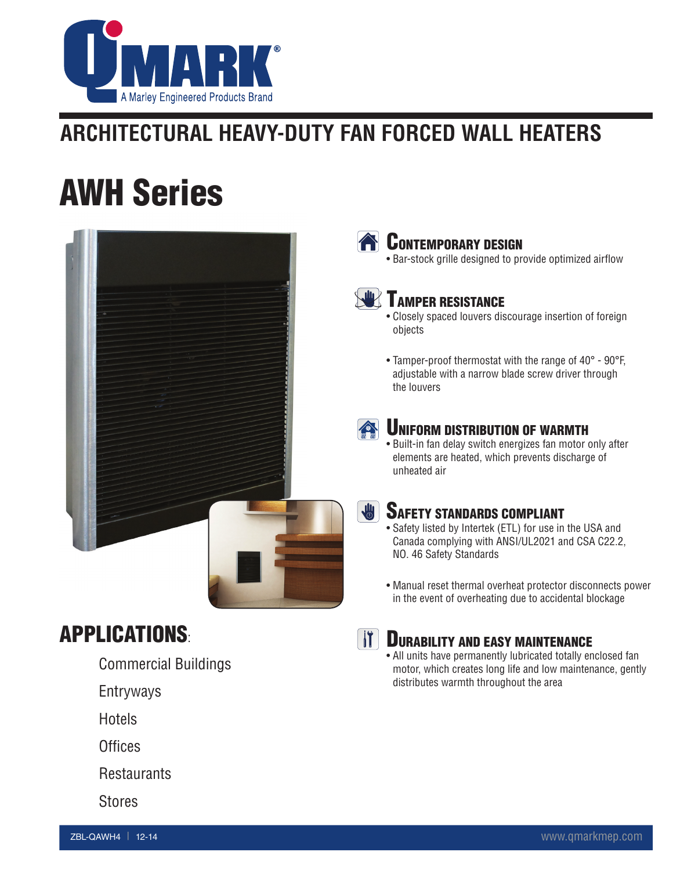

# **Architectural Heavy-Duty Fan Forced Wall Heaters**

# AWH Series



## APPLICATIONS:

- Commercial Buildings
- Entryways
- **Hotels**
- **Offices**
- **Restaurants**
- Stores



#### **EXAMPLE CONTEMPORARY DESIGN**

• Bar-stock grille designed to provide optimized airflow

### **WE TAMPER RESISTANCE**

- Closely spaced louvers discourage insertion of foreign objects
- Tamper-proof thermostat with the range of 40° 90°F, adjustable with a narrow blade screw driver through the louvers



#### UNIFORM DISTRIBUTION OF WARMTH

• Built-in fan delay switch energizes fan motor only after elements are heated, which prevents discharge of unheated air



#### SAFETY STANDARDS COMPLIANT

- Safety listed by Intertek (ETL) for use in the USA and Canada complying with ANSI/UL2021 and CSA C22.2, NO. 46 Safety Standards
- Manual reset thermal overheat protector disconnects power in the event of overheating due to accidental blockage



#### *IT DURABILITY AND EASY MAINTENANCE*

• All units have permanently lubricated totally enclosed fan motor, which creates long life and low maintenance, gently distributes warmth throughout the area